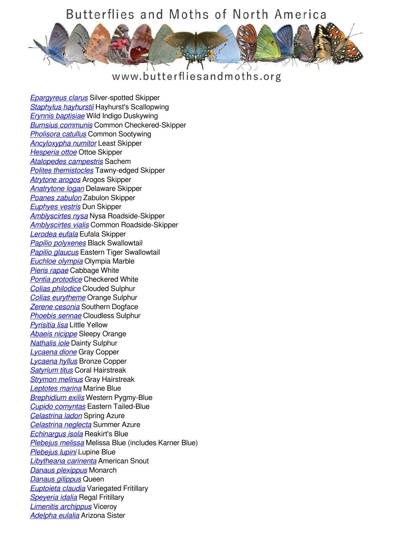## Butterflies and Moths of North America



www.butterfliesandmoths.org

*[Epargyreus clarus](/species/Epargyreus-clarus)* Silver-spotted Skipper *[Staphylus hayhurstii](/species/Staphylus-hayhurstii)* Hayhurst's Scallopwing *[Erynnis baptisiae](/species/Erynnis-baptisiae)* Wild Indigo Duskywing *[Burnsius communis](/species/Pyrgus-communis)* Common Checkered-Skipper *[Pholisora catullus](/species/Pholisora-catullus)* Common Sootywing *[Ancyloxypha numitor](/species/Ancyloxypha-numitor)* Least Skipper *[Hesperia ottoe](/species/Hesperia-ottoe)* Ottoe Skipper *[Atalopedes campestris](/species/Atalopedes-campestris)* Sachem *[Polites themistocles](/species/Polites-themistocles)* Tawny-edged Skipper *[Atrytone arogos](/species/Atrytone-arogos)* Arogos Skipper *[Anatrytone logan](/species/Anatrytone-logan)* Delaware Skipper *[Poanes zabulon](/species/Poanes-zabulon)* Zabulon Skipper *[Euphyes vestris](/species/Euphyes-vestris)* Dun Skipper *[Amblyscirtes nysa](/species/Amblyscirtes-nysa)* Nysa Roadside-Skipper *[Amblyscirtes vialis](/species/Amblyscirtes-vialis)* Common Roadside-Skipper *[Lerodea eufala](/species/Lerodea-eufala)* Eufala Skipper *[Papilio polyxenes](/species/Papilio-polyxenes)* Black Swallowtail *[Papilio glaucus](/species/Papilio-glaucus)* Eastern Tiger Swallowtail *[Euchloe olympia](/species/Euchloe-olympia)* Olympia Marble *[Pieris rapae](/species/Pieris-rapae)* Cabbage White *[Pontia protodice](/species/Pontia-protodice)* Checkered White *[Colias philodice](/species/Colias-philodice)* Clouded Sulphur *[Colias eurytheme](/species/Colias-eurytheme)* Orange Sulphur *[Zerene cesonia](/species/Zerene-cesonia)* Southern Dogface *[Phoebis sennae](/species/Phoebis-sennae)* Cloudless Sulphur *[Pyrisitia lisa](/species/Pyrisitia-lisa)* Little Yellow *[Abaeis nicippe](/species/Abaeis-nicippe)* Sleepy Orange *[Nathalis iole](/species/Nathalis-iole)* Dainty Sulphur *[Lycaena dione](/species/Lycaena-dione)* Gray Copper *[Lycaena hyllus](/species/Lycaena-hyllus)* Bronze Copper *[Satyrium titus](/species/Satyrium-titus)* Coral Hairstreak *[Strymon melinus](/species/Strymon-melinus)* Gray Hairstreak *[Leptotes marina](/species/Leptotes-marina)* Marine Blue *[Brephidium exilis](/species/Brephidium-exilis)* Western Pygmy-Blue *[Cupido comyntas](/species/Cupido-comyntas)* Eastern Tailed-Blue *[Celastrina ladon](/species/Celastrina-ladon)* Spring Azure *[Celastrina neglecta](/species/Celastrina-neglecta)* Summer Azure *[Echinargus isola](/species/Echinargus-isola)* Reakirt's Blue *[Plebejus melissa](/species/Plebejus-melissa)* Melissa Blue (includes Karner Blue) *[Plebejus lupini](/species/Plebejus-lupini)* Lupine Blue *[Libytheana carinenta](/species/Libytheana-carinenta)* American Snout *[Danaus plexippus](/species/Danaus-plexippus)* Monarch *[Danaus gilippus](/species/Danaus-gilippus)* Queen *[Euptoieta claudia](/species/Euptoieta-claudia)* Variegated Fritillary *[Speyeria idalia](/species/Speyeria-idalia)* Regal Fritillary *[Limenitis archippus](/species/Limenitis-archippus)* Viceroy *[Adelpha eulalia](/species/Adelpha-eulalia)* Arizona Sister